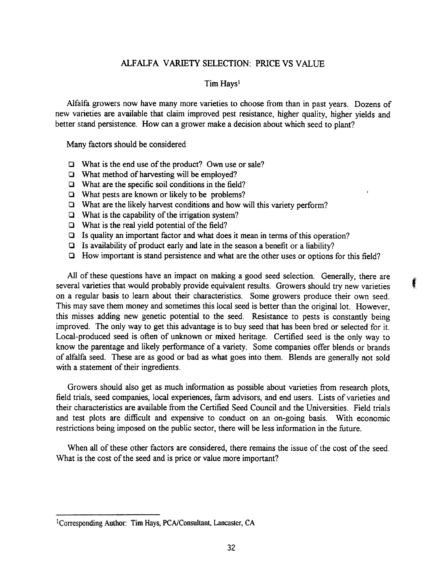## ALFALFA VARIETY SELECTION: PRICE VS VALUE

## Tim Hays<sup>l</sup>

Alfalfa growers now have many more varieties to choose from than in past years. Dozens of new varieties are available that claim improved pest resistance, higher quality, higher yields and better stand persistence. How can a grower make a decision about which seed to plant?

Many factors should be considered

- $\Box$  What is the end use of the product? Own use or sale?
- $\Box$  What method of harvesting will be employed?
- $\Box$  What are the specific soil conditions in the field?
- $\Box$  What pests are known or likely to be problems?
- $\Box$  What are the likely harvest conditions and how will this variety perform?
- $\Box$  What is the capability of the irrigation system?
- $\Box$  What is the real yield potential of the field?
- $\Box$  Is quality an important factor and what does it mean in terms of this operation?
- $\Box$  Is availability of product early and late in the season a benefit or a liability?
- Q How important is stand persistence and what are the other uses or options for this field?

t

All of these questions have an impact on making a good seed selection. Generally, there are several varieties that would probably provide equivalent results. Growers should try new varieties on a regular basis to learn about their characteristics. Some growers produce their own seed. This may save them money and sometimes this local seed is better than the original lot. However, this misses adding new genetic potential to the seed. Resistance to pests is constantly being improved. The only way to get this advantage is to buy seed that has been bred or selected for it. Local-produced seed is often of unknown or mixed heritage. Certified seed is the only way to know the parentage and likely performance of a variety. Some companies offer blends or brands of alfalfa seed. These are as good or bad as what goes into them. Blends are generally not sold with a statement of their ingredients.

Growers should also get as much information as possible about varieties from research plots, field trials, seed companies, local experiences, farm advisors, and end users. Lists of varieties and their characteristics are available from the Certified Seed Council and the Universities. Field trials and test plots are difficult and expensive to conduct on an on-going basis. With economic restrictions being imposed on the public sector, there will be less information in the future.

When all of these other factors are considered, there remains the issue of the cost of the seed. What is the cost of the seed and is price or value more important?

lCorresponding Author: Tim Hays, PCA/Consultant, Lancaster, CA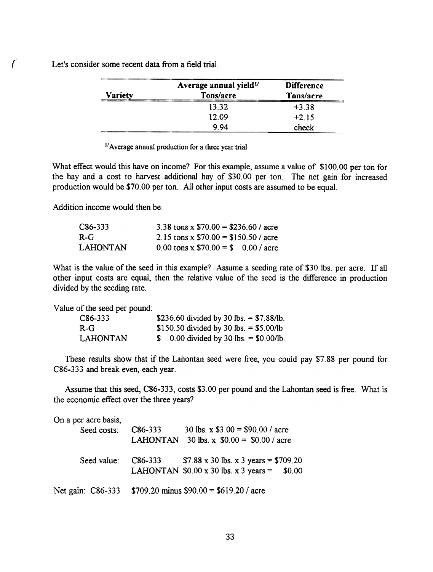r

Let's consider some recent data from a field trial.

|                | Average annual yield <sup>1/</sup> | <b>Difference</b> |
|----------------|------------------------------------|-------------------|
| <b>Variety</b> | Tons/acre                          | Tons/acre         |
|                | 13.32                              | $+3.38$           |
|                | 12.09                              | $+215$            |
|                | 9.94                               | check             |

 $1/$ Average annual production for a three year trial

What effect would this have on income? For this example, assume a value of \$100.00 per ton for the hay and a cost to harvest additional hay of \$30.00 per ton. The net gain for increased production would be \$70.00 per ton. All other input costs are assumed to be equal.

Addition income would then be:

| C86-333  | 3.38 tons x $$70.00 = $236.60 /$ acre |  |
|----------|---------------------------------------|--|
| R-G      | 2.15 tons x $$70.00 = $150.50 /$ acre |  |
| LAHONTAN | 0.00 tons x $$70.00 = $0.00 /$ acre   |  |

What is the value of the seed in this example? Assume a seeding rate of \$30 lbs. per acre. If all other input costs are equal, then the relative value of the seed is the difference in production divided by the seeding rate.

Value of the seed per pound:

| C86-333         | \$236.60 divided by 30 lbs. = $$7.88/lb$ . |
|-----------------|--------------------------------------------|
| $R-G$           | \$150.50 divided by 30 lbs. = \$5.00/lb    |
| <b>LAHONTAN</b> | \$ 0.00 divided by 30 lbs. = $$0.00/lb$ .  |

These results show that if the Lahontan seed were free, you could pay \$7.88 per pound for C86-333 and break even, each year.

Assume that this seed, C86-333, costs \$3.00 per pound and the Lahontan seed is free. What is the economic effect over the three years?

| On a per acre basis, |                      |                                                              |
|----------------------|----------------------|--------------------------------------------------------------|
| Seed costs:          | C86-333              | 30 lbs. x $$3.00 = $90.00 /$ acre                            |
|                      |                      | LAHONTAN 30 lbs. x $$0.00 = $0.00 / \text{acre}$             |
| Seed value:          | C <sub>86</sub> -333 | \$7.88 x 30 lbs. x 3 years = \$709.20                        |
|                      |                      | LAHONTAN $$0.00 \times 30$ lbs. $\times 3$ years =<br>\$0.00 |
| Net gain: C86-333    |                      | \$709.20 minus $$90.00 = $619.20$ / acre                     |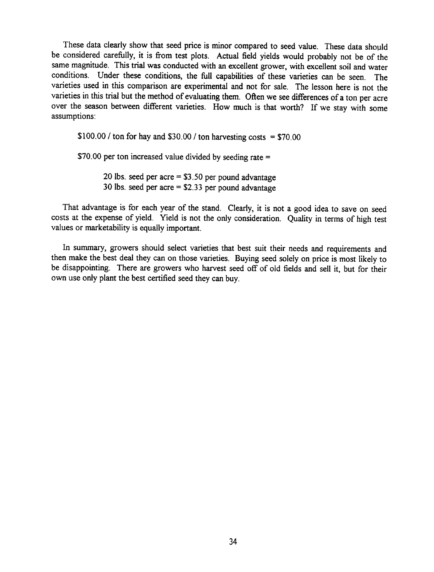These data clearly show that seed price is minor compared to seed value. These data should be considered carefully, it is from test plots. Actual field yields would probably not be of the same magnitude. This trial was conducted with an excellent grower, with excellent soil and water conditions. Under these conditions, the full capabilities of these varieties can be seen. The varieties used in this comparison are experimental and not for sale. The lesson here is not the varieties in this trial but the method of evaluating them. Often we see differences of a ton per acre over the season between different varieties. How much is that worth? If we stay with some assumptions:

 $$100.00$  / ton for hay and \$30.00 / ton harvesting costs = \$70.00

\$70.00 per ton increased value divided by seeding rate =

20 lbs. seed per acre = \$3.50 per pound advantage 30 lbs. seed per acre = \$2.33 per pound advantage

That advantage is for each year of the stand. Clearly, it is not a good idea to save on seed costs at the expense of yield. Yield is not the only consideration. Quality in terms of high test values or marketability is equally important.

In summary, growers should select varieties that best suit their needs and requirements and then make the best deal they can on those varieties. Buying seed solely on price is most likely to be disappointing. There are growers who harvest seed off of old fields and sell it, but for their own use only plant the best certified seed they can buy.